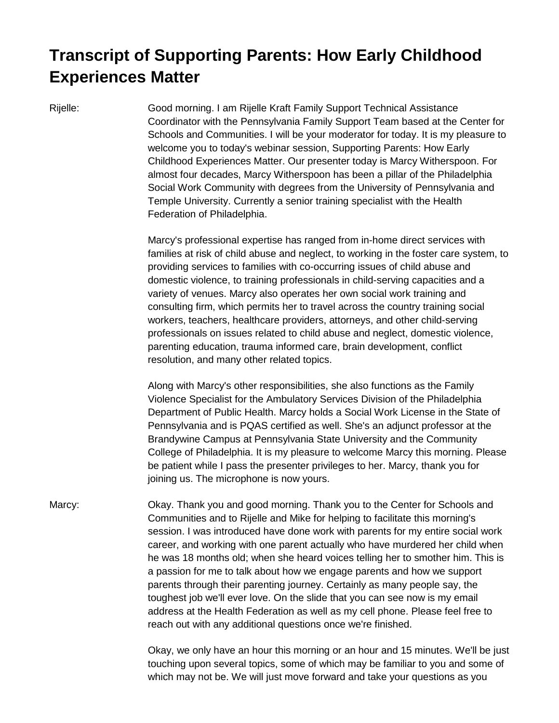## **Transcript of Supporting Parents: How Early Childhood Experiences Matter**

Rijelle: Good morning. I am Rijelle Kraft Family Support Technical Assistance Coordinator with the Pennsylvania Family Support Team based at the Center for Schools and Communities. I will be your moderator for today. It is my pleasure to welcome you to today's webinar session, Supporting Parents: How Early Childhood Experiences Matter. Our presenter today is Marcy Witherspoon. For almost four decades, Marcy Witherspoon has been a pillar of the Philadelphia Social Work Community with degrees from the University of Pennsylvania and Temple University. Currently a senior training specialist with the Health Federation of Philadelphia.

> Marcy's professional expertise has ranged from in-home direct services with families at risk of child abuse and neglect, to working in the foster care system, to providing services to families with co-occurring issues of child abuse and domestic violence, to training professionals in child-serving capacities and a variety of venues. Marcy also operates her own social work training and consulting firm, which permits her to travel across the country training social workers, teachers, healthcare providers, attorneys, and other child-serving professionals on issues related to child abuse and neglect, domestic violence, parenting education, trauma informed care, brain development, conflict resolution, and many other related topics.

> Along with Marcy's other responsibilities, she also functions as the Family Violence Specialist for the Ambulatory Services Division of the Philadelphia Department of Public Health. Marcy holds a Social Work License in the State of Pennsylvania and is PQAS certified as well. She's an adjunct professor at the Brandywine Campus at Pennsylvania State University and the Community College of Philadelphia. It is my pleasure to welcome Marcy this morning. Please be patient while I pass the presenter privileges to her. Marcy, thank you for joining us. The microphone is now yours.

Marcy: Okay. Thank you and good morning. Thank you to the Center for Schools and Communities and to Rijelle and Mike for helping to facilitate this morning's session. I was introduced have done work with parents for my entire social work career, and working with one parent actually who have murdered her child when he was 18 months old; when she heard voices telling her to smother him. This is a passion for me to talk about how we engage parents and how we support parents through their parenting journey. Certainly as many people say, the toughest job we'll ever love. On the slide that you can see now is my email address at the Health Federation as well as my cell phone. Please feel free to reach out with any additional questions once we're finished.

> Okay, we only have an hour this morning or an hour and 15 minutes. We'll be just touching upon several topics, some of which may be familiar to you and some of which may not be. We will just move forward and take your questions as you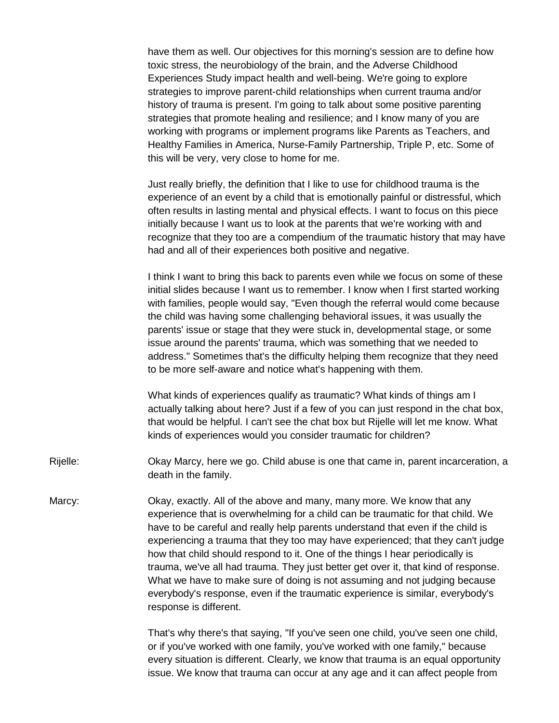have them as well. Our objectives for this morning's session are to define how toxic stress, the neurobiology of the brain, and the Adverse Childhood Experiences Study impact health and well-being. We're going to explore strategies to improve parent-child relationships when current trauma and/or history of trauma is present. I'm going to talk about some positive parenting strategies that promote healing and resilience; and I know many of you are working with programs or implement programs like Parents as Teachers, and Healthy Families in America, Nurse-Family Partnership, Triple P, etc. Some of this will be very, very close to home for me.

Just really briefly, the definition that I like to use for childhood trauma is the experience of an event by a child that is emotionally painful or distressful, which often results in lasting mental and physical effects. I want to focus on this piece initially because I want us to look at the parents that we're working with and recognize that they too are a compendium of the traumatic history that may have had and all of their experiences both positive and negative.

I think I want to bring this back to parents even while we focus on some of these initial slides because I want us to remember. I know when I first started working with families, people would say, "Even though the referral would come because the child was having some challenging behavioral issues, it was usually the parents' issue or stage that they were stuck in, developmental stage, or some issue around the parents' trauma, which was something that we needed to address." Sometimes that's the difficulty helping them recognize that they need to be more self-aware and notice what's happening with them.

What kinds of experiences qualify as traumatic? What kinds of things am I actually talking about here? Just if a few of you can just respond in the chat box, that would be helpful. I can't see the chat box but Rijelle will let me know. What kinds of experiences would you consider traumatic for children?

- Rijelle: Okay Marcy, here we go. Child abuse is one that came in, parent incarceration, a death in the family.
- Marcy: Okay, exactly. All of the above and many, many more. We know that any experience that is overwhelming for a child can be traumatic for that child. We have to be careful and really help parents understand that even if the child is experiencing a trauma that they too may have experienced; that they can't judge how that child should respond to it. One of the things I hear periodically is trauma, we've all had trauma. They just better get over it, that kind of response. What we have to make sure of doing is not assuming and not judging because everybody's response, even if the traumatic experience is similar, everybody's response is different.

That's why there's that saying, "If you've seen one child, you've seen one child, or if you've worked with one family, you've worked with one family," because every situation is different. Clearly, we know that trauma is an equal opportunity issue. We know that trauma can occur at any age and it can affect people from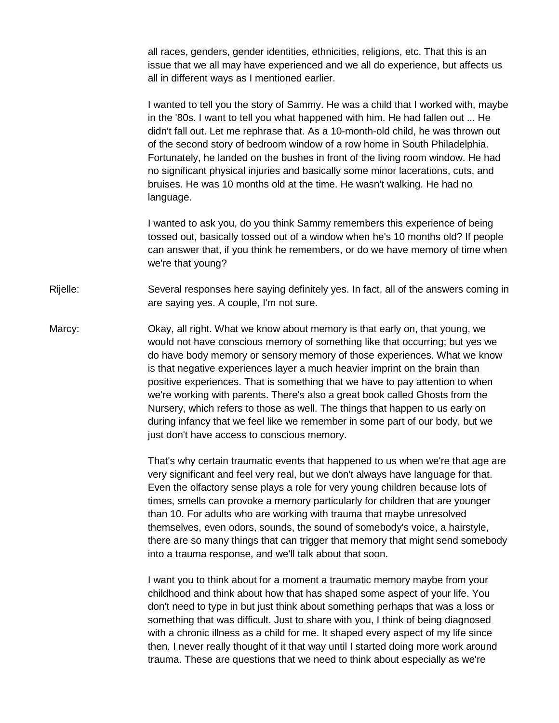all races, genders, gender identities, ethnicities, religions, etc. That this is an issue that we all may have experienced and we all do experience, but affects us all in different ways as I mentioned earlier.

I wanted to tell you the story of Sammy. He was a child that I worked with, maybe in the '80s. I want to tell you what happened with him. He had fallen out ... He didn't fall out. Let me rephrase that. As a 10-month-old child, he was thrown out of the second story of bedroom window of a row home in South Philadelphia. Fortunately, he landed on the bushes in front of the living room window. He had no significant physical injuries and basically some minor lacerations, cuts, and bruises. He was 10 months old at the time. He wasn't walking. He had no language.

I wanted to ask you, do you think Sammy remembers this experience of being tossed out, basically tossed out of a window when he's 10 months old? If people can answer that, if you think he remembers, or do we have memory of time when we're that young?

Rijelle: Several responses here saying definitely yes. In fact, all of the answers coming in are saying yes. A couple, I'm not sure.

Marcy: Okay, all right. What we know about memory is that early on, that young, we would not have conscious memory of something like that occurring; but yes we do have body memory or sensory memory of those experiences. What we know is that negative experiences layer a much heavier imprint on the brain than positive experiences. That is something that we have to pay attention to when we're working with parents. There's also a great book called Ghosts from the Nursery, which refers to those as well. The things that happen to us early on during infancy that we feel like we remember in some part of our body, but we just don't have access to conscious memory.

> That's why certain traumatic events that happened to us when we're that age are very significant and feel very real, but we don't always have language for that. Even the olfactory sense plays a role for very young children because lots of times, smells can provoke a memory particularly for children that are younger than 10. For adults who are working with trauma that maybe unresolved themselves, even odors, sounds, the sound of somebody's voice, a hairstyle, there are so many things that can trigger that memory that might send somebody into a trauma response, and we'll talk about that soon.

I want you to think about for a moment a traumatic memory maybe from your childhood and think about how that has shaped some aspect of your life. You don't need to type in but just think about something perhaps that was a loss or something that was difficult. Just to share with you, I think of being diagnosed with a chronic illness as a child for me. It shaped every aspect of my life since then. I never really thought of it that way until I started doing more work around trauma. These are questions that we need to think about especially as we're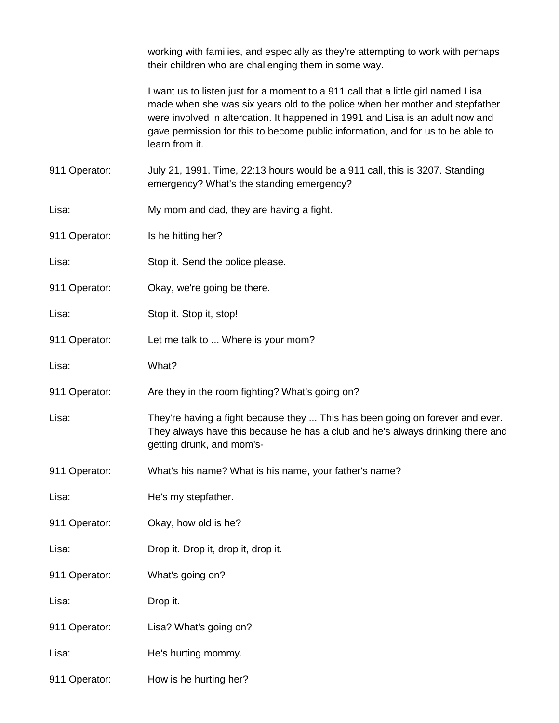working with families, and especially as they're attempting to work with perhaps their children who are challenging them in some way.

I want us to listen just for a moment to a 911 call that a little girl named Lisa made when she was six years old to the police when her mother and stepfather were involved in altercation. It happened in 1991 and Lisa is an adult now and gave permission for this to become public information, and for us to be able to learn from it.

911 Operator: July 21, 1991. Time, 22:13 hours would be a 911 call, this is 3207. Standing emergency? What's the standing emergency?

- Lisa: My mom and dad, they are having a fight.
- 911 Operator: Is he hitting her?
- Lisa: Stop it. Send the police please.
- 911 Operator: Okay, we're going be there.
- Lisa: Stop it. Stop it, stop!
- 911 Operator: Let me talk to ... Where is your mom?
- Lisa: What?
- 911 Operator: Are they in the room fighting? What's going on?
- Lisa: They're having a fight because they ... This has been going on forever and ever. They always have this because he has a club and he's always drinking there and getting drunk, and mom's-
- 911 Operator: What's his name? What is his name, your father's name?
- Lisa: He's my stepfather.
- 911 Operator: Okay, how old is he?
- Lisa: Drop it. Drop it, drop it, drop it.
- 911 Operator: What's going on?
- Lisa: Drop it.
- 911 Operator: Lisa? What's going on?
- Lisa: He's hurting mommy.
- 911 Operator: How is he hurting her?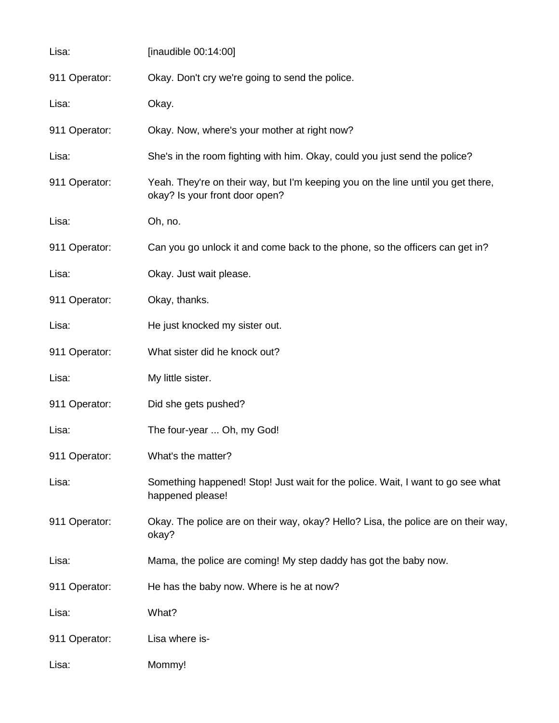| Lisa:         | [inaudible $00:14:00$ ]                                                                                            |
|---------------|--------------------------------------------------------------------------------------------------------------------|
| 911 Operator: | Okay. Don't cry we're going to send the police.                                                                    |
| Lisa:         | Okay.                                                                                                              |
| 911 Operator: | Okay. Now, where's your mother at right now?                                                                       |
| Lisa:         | She's in the room fighting with him. Okay, could you just send the police?                                         |
| 911 Operator: | Yeah. They're on their way, but I'm keeping you on the line until you get there,<br>okay? Is your front door open? |
| Lisa:         | Oh, no.                                                                                                            |
| 911 Operator: | Can you go unlock it and come back to the phone, so the officers can get in?                                       |
| Lisa:         | Okay. Just wait please.                                                                                            |
| 911 Operator: | Okay, thanks.                                                                                                      |
| Lisa:         | He just knocked my sister out.                                                                                     |
| 911 Operator: | What sister did he knock out?                                                                                      |
| Lisa:         | My little sister.                                                                                                  |
| 911 Operator: | Did she gets pushed?                                                                                               |
| Lisa:         | The four-year  Oh, my God!                                                                                         |
| 911 Operator: | What's the matter?                                                                                                 |
| Lisa:         | Something happened! Stop! Just wait for the police. Wait, I want to go see what<br>happened please!                |
| 911 Operator: | Okay. The police are on their way, okay? Hello? Lisa, the police are on their way,<br>okay?                        |
| Lisa:         | Mama, the police are coming! My step daddy has got the baby now.                                                   |
| 911 Operator: | He has the baby now. Where is he at now?                                                                           |
| Lisa:         | What?                                                                                                              |
| 911 Operator: | Lisa where is-                                                                                                     |
| Lisa:         | Mommy!                                                                                                             |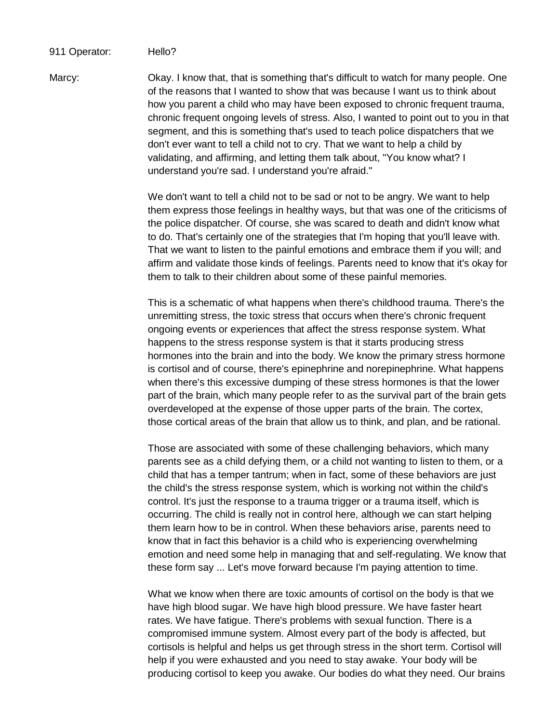## 911 Operator: Hello?

Marcy: Okay. I know that, that is something that's difficult to watch for many people. One of the reasons that I wanted to show that was because I want us to think about how you parent a child who may have been exposed to chronic frequent trauma, chronic frequent ongoing levels of stress. Also, I wanted to point out to you in that segment, and this is something that's used to teach police dispatchers that we don't ever want to tell a child not to cry. That we want to help a child by validating, and affirming, and letting them talk about, "You know what? I understand you're sad. I understand you're afraid."

> We don't want to tell a child not to be sad or not to be angry. We want to help them express those feelings in healthy ways, but that was one of the criticisms of the police dispatcher. Of course, she was scared to death and didn't know what to do. That's certainly one of the strategies that I'm hoping that you'll leave with. That we want to listen to the painful emotions and embrace them if you will; and affirm and validate those kinds of feelings. Parents need to know that it's okay for them to talk to their children about some of these painful memories.

> This is a schematic of what happens when there's childhood trauma. There's the unremitting stress, the toxic stress that occurs when there's chronic frequent ongoing events or experiences that affect the stress response system. What happens to the stress response system is that it starts producing stress hormones into the brain and into the body. We know the primary stress hormone is cortisol and of course, there's epinephrine and norepinephrine. What happens when there's this excessive dumping of these stress hormones is that the lower part of the brain, which many people refer to as the survival part of the brain gets overdeveloped at the expense of those upper parts of the brain. The cortex, those cortical areas of the brain that allow us to think, and plan, and be rational.

> Those are associated with some of these challenging behaviors, which many parents see as a child defying them, or a child not wanting to listen to them, or a child that has a temper tantrum; when in fact, some of these behaviors are just the child's the stress response system, which is working not within the child's control. It's just the response to a trauma trigger or a trauma itself, which is occurring. The child is really not in control here, although we can start helping them learn how to be in control. When these behaviors arise, parents need to know that in fact this behavior is a child who is experiencing overwhelming emotion and need some help in managing that and self-regulating. We know that these form say ... Let's move forward because I'm paying attention to time.

> What we know when there are toxic amounts of cortisol on the body is that we have high blood sugar. We have high blood pressure. We have faster heart rates. We have fatigue. There's problems with sexual function. There is a compromised immune system. Almost every part of the body is affected, but cortisols is helpful and helps us get through stress in the short term. Cortisol will help if you were exhausted and you need to stay awake. Your body will be producing cortisol to keep you awake. Our bodies do what they need. Our brains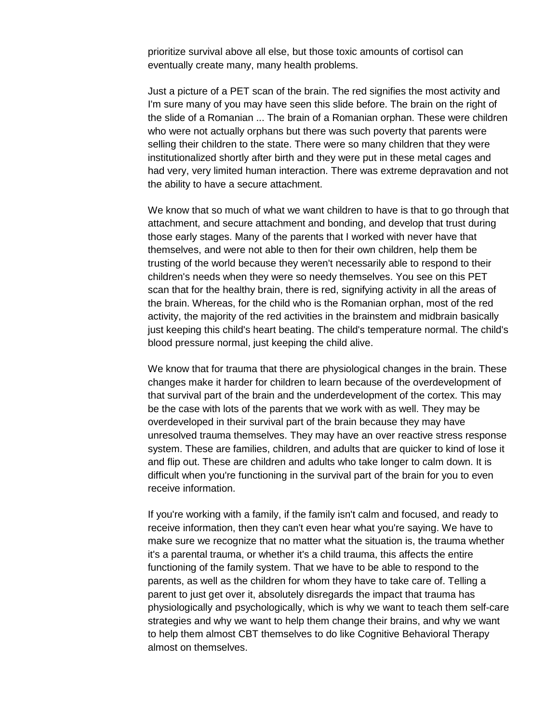prioritize survival above all else, but those toxic amounts of cortisol can eventually create many, many health problems.

Just a picture of a PET scan of the brain. The red signifies the most activity and I'm sure many of you may have seen this slide before. The brain on the right of the slide of a Romanian ... The brain of a Romanian orphan. These were children who were not actually orphans but there was such poverty that parents were selling their children to the state. There were so many children that they were institutionalized shortly after birth and they were put in these metal cages and had very, very limited human interaction. There was extreme depravation and not the ability to have a secure attachment.

We know that so much of what we want children to have is that to go through that attachment, and secure attachment and bonding, and develop that trust during those early stages. Many of the parents that I worked with never have that themselves, and were not able to then for their own children, help them be trusting of the world because they weren't necessarily able to respond to their children's needs when they were so needy themselves. You see on this PET scan that for the healthy brain, there is red, signifying activity in all the areas of the brain. Whereas, for the child who is the Romanian orphan, most of the red activity, the majority of the red activities in the brainstem and midbrain basically just keeping this child's heart beating. The child's temperature normal. The child's blood pressure normal, just keeping the child alive.

We know that for trauma that there are physiological changes in the brain. These changes make it harder for children to learn because of the overdevelopment of that survival part of the brain and the underdevelopment of the cortex. This may be the case with lots of the parents that we work with as well. They may be overdeveloped in their survival part of the brain because they may have unresolved trauma themselves. They may have an over reactive stress response system. These are families, children, and adults that are quicker to kind of lose it and flip out. These are children and adults who take longer to calm down. It is difficult when you're functioning in the survival part of the brain for you to even receive information.

If you're working with a family, if the family isn't calm and focused, and ready to receive information, then they can't even hear what you're saying. We have to make sure we recognize that no matter what the situation is, the trauma whether it's a parental trauma, or whether it's a child trauma, this affects the entire functioning of the family system. That we have to be able to respond to the parents, as well as the children for whom they have to take care of. Telling a parent to just get over it, absolutely disregards the impact that trauma has physiologically and psychologically, which is why we want to teach them self-care strategies and why we want to help them change their brains, and why we want to help them almost CBT themselves to do like Cognitive Behavioral Therapy almost on themselves.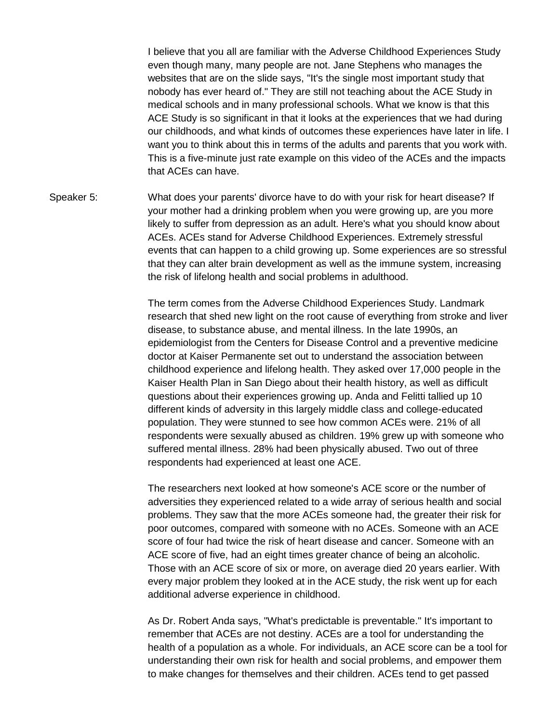I believe that you all are familiar with the Adverse Childhood Experiences Study even though many, many people are not. Jane Stephens who manages the websites that are on the slide says, "It's the single most important study that nobody has ever heard of." They are still not teaching about the ACE Study in medical schools and in many professional schools. What we know is that this ACE Study is so significant in that it looks at the experiences that we had during our childhoods, and what kinds of outcomes these experiences have later in life. I want you to think about this in terms of the adults and parents that you work with. This is a five-minute just rate example on this video of the ACEs and the impacts that ACEs can have.

Speaker 5: What does your parents' divorce have to do with your risk for heart disease? If your mother had a drinking problem when you were growing up, are you more likely to suffer from depression as an adult. Here's what you should know about ACEs. ACEs stand for Adverse Childhood Experiences. Extremely stressful events that can happen to a child growing up. Some experiences are so stressful that they can alter brain development as well as the immune system, increasing the risk of lifelong health and social problems in adulthood.

> The term comes from the Adverse Childhood Experiences Study. Landmark research that shed new light on the root cause of everything from stroke and liver disease, to substance abuse, and mental illness. In the late 1990s, an epidemiologist from the Centers for Disease Control and a preventive medicine doctor at Kaiser Permanente set out to understand the association between childhood experience and lifelong health. They asked over 17,000 people in the Kaiser Health Plan in San Diego about their health history, as well as difficult questions about their experiences growing up. Anda and Felitti tallied up 10 different kinds of adversity in this largely middle class and college-educated population. They were stunned to see how common ACEs were. 21% of all respondents were sexually abused as children. 19% grew up with someone who suffered mental illness. 28% had been physically abused. Two out of three respondents had experienced at least one ACE.

The researchers next looked at how someone's ACE score or the number of adversities they experienced related to a wide array of serious health and social problems. They saw that the more ACEs someone had, the greater their risk for poor outcomes, compared with someone with no ACEs. Someone with an ACE score of four had twice the risk of heart disease and cancer. Someone with an ACE score of five, had an eight times greater chance of being an alcoholic. Those with an ACE score of six or more, on average died 20 years earlier. With every major problem they looked at in the ACE study, the risk went up for each additional adverse experience in childhood.

As Dr. Robert Anda says, "What's predictable is preventable." It's important to remember that ACEs are not destiny. ACEs are a tool for understanding the health of a population as a whole. For individuals, an ACE score can be a tool for understanding their own risk for health and social problems, and empower them to make changes for themselves and their children. ACEs tend to get passed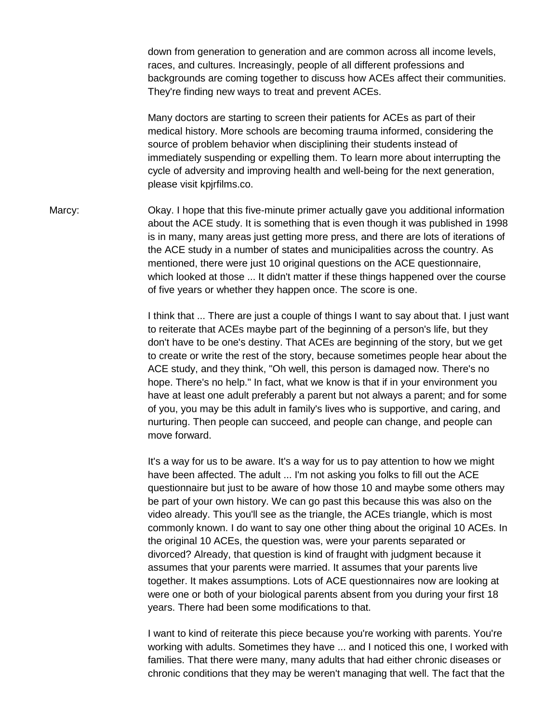down from generation to generation and are common across all income levels, races, and cultures. Increasingly, people of all different professions and backgrounds are coming together to discuss how ACEs affect their communities. They're finding new ways to treat and prevent ACEs.

Many doctors are starting to screen their patients for ACEs as part of their medical history. More schools are becoming trauma informed, considering the source of problem behavior when disciplining their students instead of immediately suspending or expelling them. To learn more about interrupting the cycle of adversity and improving health and well-being for the next generation, please visit kpjrfilms.co.

Marcy: Okay. I hope that this five-minute primer actually gave you additional information about the ACE study. It is something that is even though it was published in 1998 is in many, many areas just getting more press, and there are lots of iterations of the ACE study in a number of states and municipalities across the country. As mentioned, there were just 10 original questions on the ACE questionnaire, which looked at those ... It didn't matter if these things happened over the course of five years or whether they happen once. The score is one.

> I think that ... There are just a couple of things I want to say about that. I just want to reiterate that ACEs maybe part of the beginning of a person's life, but they don't have to be one's destiny. That ACEs are beginning of the story, but we get to create or write the rest of the story, because sometimes people hear about the ACE study, and they think, "Oh well, this person is damaged now. There's no hope. There's no help." In fact, what we know is that if in your environment you have at least one adult preferably a parent but not always a parent; and for some of you, you may be this adult in family's lives who is supportive, and caring, and nurturing. Then people can succeed, and people can change, and people can move forward.

> It's a way for us to be aware. It's a way for us to pay attention to how we might have been affected. The adult ... I'm not asking you folks to fill out the ACE questionnaire but just to be aware of how those 10 and maybe some others may be part of your own history. We can go past this because this was also on the video already. This you'll see as the triangle, the ACEs triangle, which is most commonly known. I do want to say one other thing about the original 10 ACEs. In the original 10 ACEs, the question was, were your parents separated or divorced? Already, that question is kind of fraught with judgment because it assumes that your parents were married. It assumes that your parents live together. It makes assumptions. Lots of ACE questionnaires now are looking at were one or both of your biological parents absent from you during your first 18 years. There had been some modifications to that.

> I want to kind of reiterate this piece because you're working with parents. You're working with adults. Sometimes they have ... and I noticed this one, I worked with families. That there were many, many adults that had either chronic diseases or chronic conditions that they may be weren't managing that well. The fact that the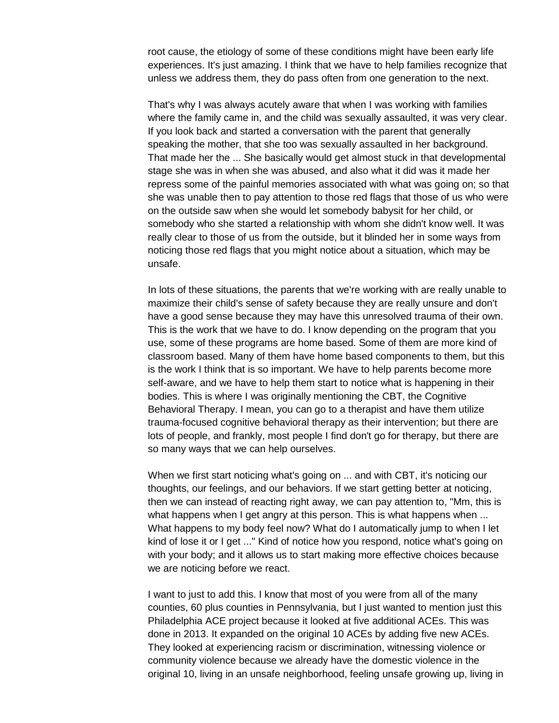root cause, the etiology of some of these conditions might have been early life experiences. It's just amazing. I think that we have to help families recognize that unless we address them, they do pass often from one generation to the next.

That's why I was always acutely aware that when I was working with families where the family came in, and the child was sexually assaulted, it was very clear. If you look back and started a conversation with the parent that generally speaking the mother, that she too was sexually assaulted in her background. That made her the ... She basically would get almost stuck in that developmental stage she was in when she was abused, and also what it did was it made her repress some of the painful memories associated with what was going on; so that she was unable then to pay attention to those red flags that those of us who were on the outside saw when she would let somebody babysit for her child, or somebody who she started a relationship with whom she didn't know well. It was really clear to those of us from the outside, but it blinded her in some ways from noticing those red flags that you might notice about a situation, which may be unsafe.

In lots of these situations, the parents that we're working with are really unable to maximize their child's sense of safety because they are really unsure and don't have a good sense because they may have this unresolved trauma of their own. This is the work that we have to do. I know depending on the program that you use, some of these programs are home based. Some of them are more kind of classroom based. Many of them have home based components to them, but this is the work I think that is so important. We have to help parents become more self-aware, and we have to help them start to notice what is happening in their bodies. This is where I was originally mentioning the CBT, the Cognitive Behavioral Therapy. I mean, you can go to a therapist and have them utilize trauma-focused cognitive behavioral therapy as their intervention; but there are lots of people, and frankly, most people I find don't go for therapy, but there are so many ways that we can help ourselves.

When we first start noticing what's going on ... and with CBT, it's noticing our thoughts, our feelings, and our behaviors. If we start getting better at noticing, then we can instead of reacting right away, we can pay attention to, "Mm, this is what happens when I get angry at this person. This is what happens when ... What happens to my body feel now? What do I automatically jump to when I let kind of lose it or I get ..." Kind of notice how you respond, notice what's going on with your body; and it allows us to start making more effective choices because we are noticing before we react.

I want to just to add this. I know that most of you were from all of the many counties, 60 plus counties in Pennsylvania, but I just wanted to mention just this Philadelphia ACE project because it looked at five additional ACEs. This was done in 2013. It expanded on the original 10 ACEs by adding five new ACEs. They looked at experiencing racism or discrimination, witnessing violence or community violence because we already have the domestic violence in the original 10, living in an unsafe neighborhood, feeling unsafe growing up, living in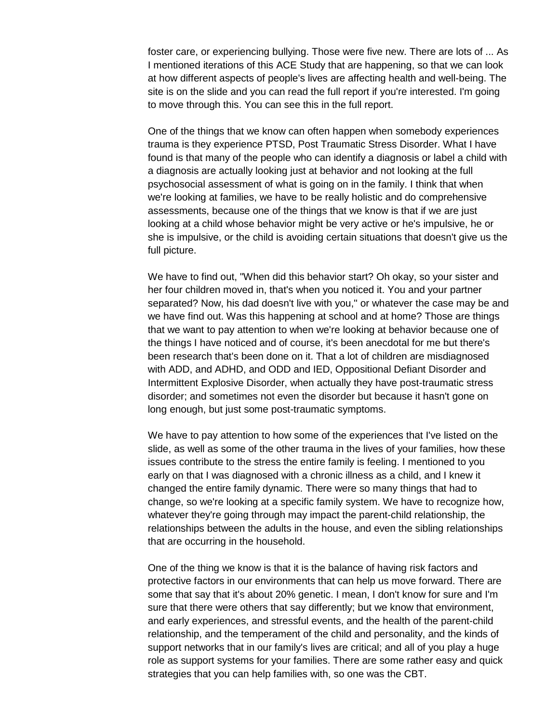foster care, or experiencing bullying. Those were five new. There are lots of ... As I mentioned iterations of this ACE Study that are happening, so that we can look at how different aspects of people's lives are affecting health and well-being. The site is on the slide and you can read the full report if you're interested. I'm going to move through this. You can see this in the full report.

One of the things that we know can often happen when somebody experiences trauma is they experience PTSD, Post Traumatic Stress Disorder. What I have found is that many of the people who can identify a diagnosis or label a child with a diagnosis are actually looking just at behavior and not looking at the full psychosocial assessment of what is going on in the family. I think that when we're looking at families, we have to be really holistic and do comprehensive assessments, because one of the things that we know is that if we are just looking at a child whose behavior might be very active or he's impulsive, he or she is impulsive, or the child is avoiding certain situations that doesn't give us the full picture.

We have to find out, "When did this behavior start? Oh okay, so your sister and her four children moved in, that's when you noticed it. You and your partner separated? Now, his dad doesn't live with you," or whatever the case may be and we have find out. Was this happening at school and at home? Those are things that we want to pay attention to when we're looking at behavior because one of the things I have noticed and of course, it's been anecdotal for me but there's been research that's been done on it. That a lot of children are misdiagnosed with ADD, and ADHD, and ODD and IED, Oppositional Defiant Disorder and Intermittent Explosive Disorder, when actually they have post-traumatic stress disorder; and sometimes not even the disorder but because it hasn't gone on long enough, but just some post-traumatic symptoms.

We have to pay attention to how some of the experiences that I've listed on the slide, as well as some of the other trauma in the lives of your families, how these issues contribute to the stress the entire family is feeling. I mentioned to you early on that I was diagnosed with a chronic illness as a child, and I knew it changed the entire family dynamic. There were so many things that had to change, so we're looking at a specific family system. We have to recognize how, whatever they're going through may impact the parent-child relationship, the relationships between the adults in the house, and even the sibling relationships that are occurring in the household.

One of the thing we know is that it is the balance of having risk factors and protective factors in our environments that can help us move forward. There are some that say that it's about 20% genetic. I mean, I don't know for sure and I'm sure that there were others that say differently; but we know that environment, and early experiences, and stressful events, and the health of the parent-child relationship, and the temperament of the child and personality, and the kinds of support networks that in our family's lives are critical; and all of you play a huge role as support systems for your families. There are some rather easy and quick strategies that you can help families with, so one was the CBT.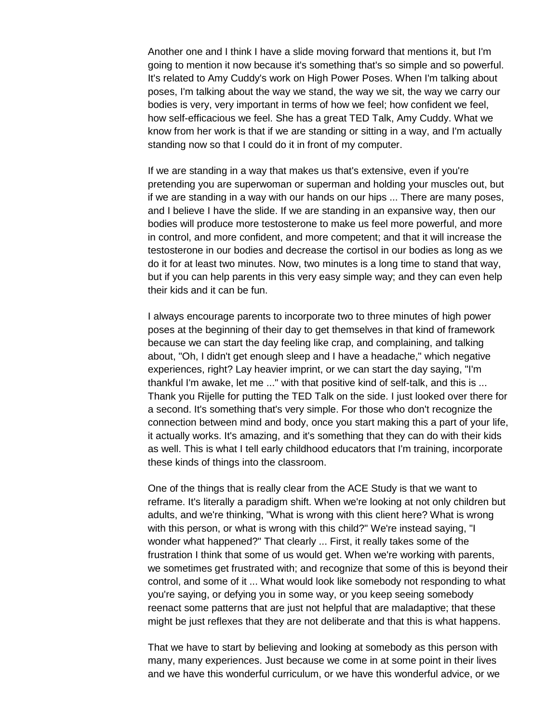Another one and I think I have a slide moving forward that mentions it, but I'm going to mention it now because it's something that's so simple and so powerful. It's related to Amy Cuddy's work on High Power Poses. When I'm talking about poses, I'm talking about the way we stand, the way we sit, the way we carry our bodies is very, very important in terms of how we feel; how confident we feel, how self-efficacious we feel. She has a great TED Talk, Amy Cuddy. What we know from her work is that if we are standing or sitting in a way, and I'm actually standing now so that I could do it in front of my computer.

If we are standing in a way that makes us that's extensive, even if you're pretending you are superwoman or superman and holding your muscles out, but if we are standing in a way with our hands on our hips ... There are many poses, and I believe I have the slide. If we are standing in an expansive way, then our bodies will produce more testosterone to make us feel more powerful, and more in control, and more confident, and more competent; and that it will increase the testosterone in our bodies and decrease the cortisol in our bodies as long as we do it for at least two minutes. Now, two minutes is a long time to stand that way, but if you can help parents in this very easy simple way; and they can even help their kids and it can be fun.

I always encourage parents to incorporate two to three minutes of high power poses at the beginning of their day to get themselves in that kind of framework because we can start the day feeling like crap, and complaining, and talking about, "Oh, I didn't get enough sleep and I have a headache," which negative experiences, right? Lay heavier imprint, or we can start the day saying, "I'm thankful I'm awake, let me ..." with that positive kind of self-talk, and this is ... Thank you Rijelle for putting the TED Talk on the side. I just looked over there for a second. It's something that's very simple. For those who don't recognize the connection between mind and body, once you start making this a part of your life, it actually works. It's amazing, and it's something that they can do with their kids as well. This is what I tell early childhood educators that I'm training, incorporate these kinds of things into the classroom.

One of the things that is really clear from the ACE Study is that we want to reframe. It's literally a paradigm shift. When we're looking at not only children but adults, and we're thinking, "What is wrong with this client here? What is wrong with this person, or what is wrong with this child?" We're instead saying, "I wonder what happened?" That clearly ... First, it really takes some of the frustration I think that some of us would get. When we're working with parents, we sometimes get frustrated with; and recognize that some of this is beyond their control, and some of it ... What would look like somebody not responding to what you're saying, or defying you in some way, or you keep seeing somebody reenact some patterns that are just not helpful that are maladaptive; that these might be just reflexes that they are not deliberate and that this is what happens.

That we have to start by believing and looking at somebody as this person with many, many experiences. Just because we come in at some point in their lives and we have this wonderful curriculum, or we have this wonderful advice, or we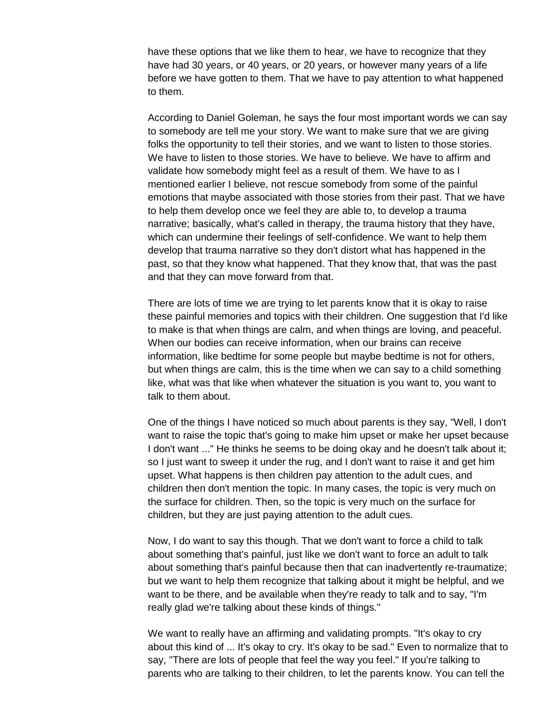have these options that we like them to hear, we have to recognize that they have had 30 years, or 40 years, or 20 years, or however many years of a life before we have gotten to them. That we have to pay attention to what happened to them.

According to Daniel Goleman, he says the four most important words we can say to somebody are tell me your story. We want to make sure that we are giving folks the opportunity to tell their stories, and we want to listen to those stories. We have to listen to those stories. We have to believe. We have to affirm and validate how somebody might feel as a result of them. We have to as I mentioned earlier I believe, not rescue somebody from some of the painful emotions that maybe associated with those stories from their past. That we have to help them develop once we feel they are able to, to develop a trauma narrative; basically, what's called in therapy, the trauma history that they have, which can undermine their feelings of self-confidence. We want to help them develop that trauma narrative so they don't distort what has happened in the past, so that they know what happened. That they know that, that was the past and that they can move forward from that.

There are lots of time we are trying to let parents know that it is okay to raise these painful memories and topics with their children. One suggestion that I'd like to make is that when things are calm, and when things are loving, and peaceful. When our bodies can receive information, when our brains can receive information, like bedtime for some people but maybe bedtime is not for others, but when things are calm, this is the time when we can say to a child something like, what was that like when whatever the situation is you want to, you want to talk to them about.

One of the things I have noticed so much about parents is they say, "Well, I don't want to raise the topic that's going to make him upset or make her upset because I don't want ..." He thinks he seems to be doing okay and he doesn't talk about it; so I just want to sweep it under the rug, and I don't want to raise it and get him upset. What happens is then children pay attention to the adult cues, and children then don't mention the topic. In many cases, the topic is very much on the surface for children. Then, so the topic is very much on the surface for children, but they are just paying attention to the adult cues.

Now, I do want to say this though. That we don't want to force a child to talk about something that's painful, just like we don't want to force an adult to talk about something that's painful because then that can inadvertently re-traumatize; but we want to help them recognize that talking about it might be helpful, and we want to be there, and be available when they're ready to talk and to say, "I'm really glad we're talking about these kinds of things."

We want to really have an affirming and validating prompts. "It's okay to cry about this kind of ... It's okay to cry. It's okay to be sad." Even to normalize that to say, "There are lots of people that feel the way you feel." If you're talking to parents who are talking to their children, to let the parents know. You can tell the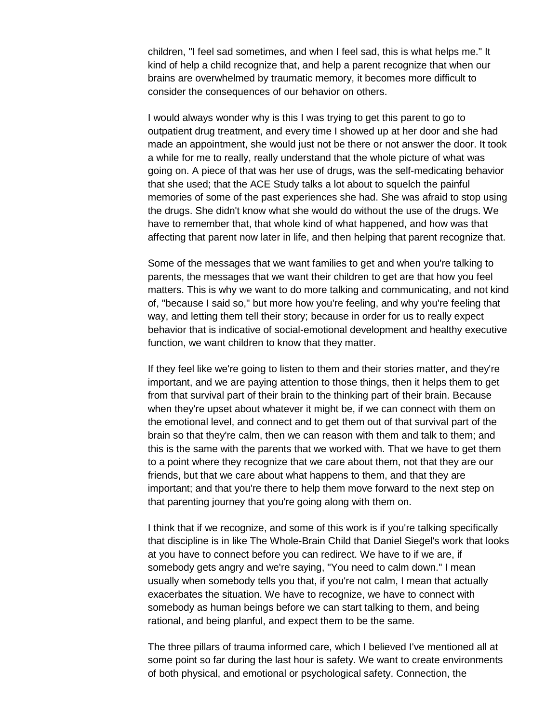children, "I feel sad sometimes, and when I feel sad, this is what helps me." It kind of help a child recognize that, and help a parent recognize that when our brains are overwhelmed by traumatic memory, it becomes more difficult to consider the consequences of our behavior on others.

I would always wonder why is this I was trying to get this parent to go to outpatient drug treatment, and every time I showed up at her door and she had made an appointment, she would just not be there or not answer the door. It took a while for me to really, really understand that the whole picture of what was going on. A piece of that was her use of drugs, was the self-medicating behavior that she used; that the ACE Study talks a lot about to squelch the painful memories of some of the past experiences she had. She was afraid to stop using the drugs. She didn't know what she would do without the use of the drugs. We have to remember that, that whole kind of what happened, and how was that affecting that parent now later in life, and then helping that parent recognize that.

Some of the messages that we want families to get and when you're talking to parents, the messages that we want their children to get are that how you feel matters. This is why we want to do more talking and communicating, and not kind of, "because I said so," but more how you're feeling, and why you're feeling that way, and letting them tell their story; because in order for us to really expect behavior that is indicative of social-emotional development and healthy executive function, we want children to know that they matter.

If they feel like we're going to listen to them and their stories matter, and they're important, and we are paying attention to those things, then it helps them to get from that survival part of their brain to the thinking part of their brain. Because when they're upset about whatever it might be, if we can connect with them on the emotional level, and connect and to get them out of that survival part of the brain so that they're calm, then we can reason with them and talk to them; and this is the same with the parents that we worked with. That we have to get them to a point where they recognize that we care about them, not that they are our friends, but that we care about what happens to them, and that they are important; and that you're there to help them move forward to the next step on that parenting journey that you're going along with them on.

I think that if we recognize, and some of this work is if you're talking specifically that discipline is in like The Whole-Brain Child that Daniel Siegel's work that looks at you have to connect before you can redirect. We have to if we are, if somebody gets angry and we're saying, "You need to calm down." I mean usually when somebody tells you that, if you're not calm, I mean that actually exacerbates the situation. We have to recognize, we have to connect with somebody as human beings before we can start talking to them, and being rational, and being planful, and expect them to be the same.

The three pillars of trauma informed care, which I believed I've mentioned all at some point so far during the last hour is safety. We want to create environments of both physical, and emotional or psychological safety. Connection, the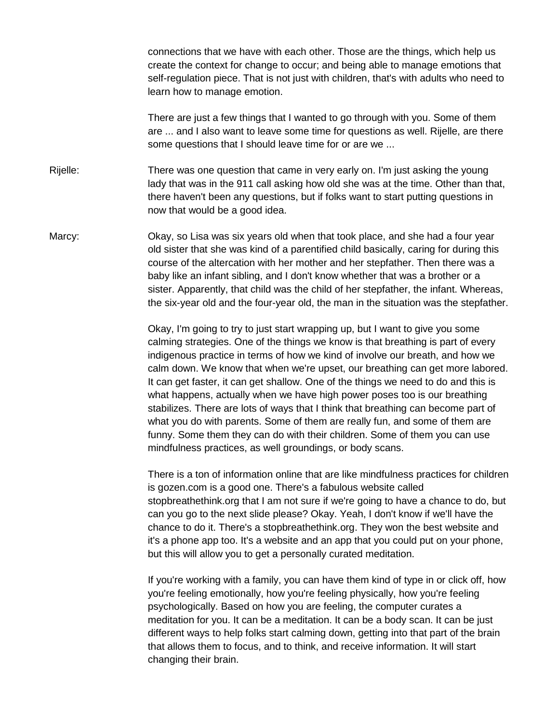connections that we have with each other. Those are the things, which help us create the context for change to occur; and being able to manage emotions that self-regulation piece. That is not just with children, that's with adults who need to learn how to manage emotion.

There are just a few things that I wanted to go through with you. Some of them are ... and I also want to leave some time for questions as well. Rijelle, are there some questions that I should leave time for or are we ...

Rijelle: There was one question that came in very early on. I'm just asking the young lady that was in the 911 call asking how old she was at the time. Other than that, there haven't been any questions, but if folks want to start putting questions in now that would be a good idea.

Marcy: Okay, so Lisa was six years old when that took place, and she had a four year old sister that she was kind of a parentified child basically, caring for during this course of the altercation with her mother and her stepfather. Then there was a baby like an infant sibling, and I don't know whether that was a brother or a sister. Apparently, that child was the child of her stepfather, the infant. Whereas, the six-year old and the four-year old, the man in the situation was the stepfather.

> Okay, I'm going to try to just start wrapping up, but I want to give you some calming strategies. One of the things we know is that breathing is part of every indigenous practice in terms of how we kind of involve our breath, and how we calm down. We know that when we're upset, our breathing can get more labored. It can get faster, it can get shallow. One of the things we need to do and this is what happens, actually when we have high power poses too is our breathing stabilizes. There are lots of ways that I think that breathing can become part of what you do with parents. Some of them are really fun, and some of them are funny. Some them they can do with their children. Some of them you can use mindfulness practices, as well groundings, or body scans.

> There is a ton of information online that are like mindfulness practices for children is gozen.com is a good one. There's a fabulous website called stopbreathethink.org that I am not sure if we're going to have a chance to do, but can you go to the next slide please? Okay. Yeah, I don't know if we'll have the chance to do it. There's a stopbreathethink.org. They won the best website and it's a phone app too. It's a website and an app that you could put on your phone, but this will allow you to get a personally curated meditation.

> If you're working with a family, you can have them kind of type in or click off, how you're feeling emotionally, how you're feeling physically, how you're feeling psychologically. Based on how you are feeling, the computer curates a meditation for you. It can be a meditation. It can be a body scan. It can be just different ways to help folks start calming down, getting into that part of the brain that allows them to focus, and to think, and receive information. It will start changing their brain.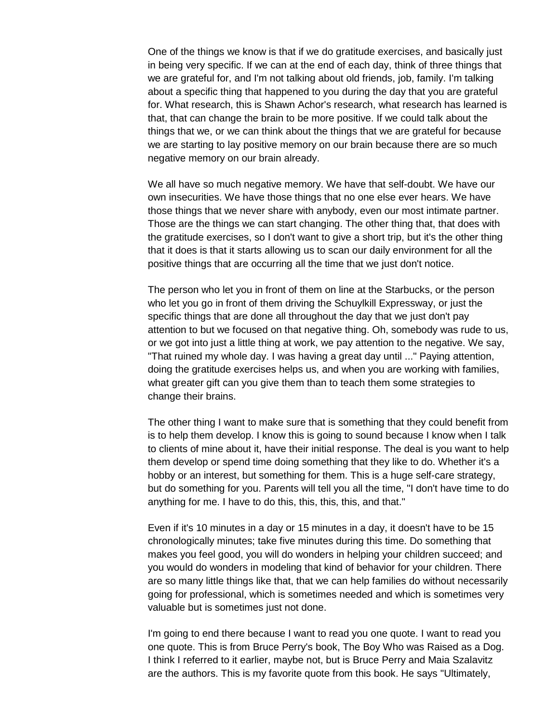One of the things we know is that if we do gratitude exercises, and basically just in being very specific. If we can at the end of each day, think of three things that we are grateful for, and I'm not talking about old friends, job, family. I'm talking about a specific thing that happened to you during the day that you are grateful for. What research, this is Shawn Achor's research, what research has learned is that, that can change the brain to be more positive. If we could talk about the things that we, or we can think about the things that we are grateful for because we are starting to lay positive memory on our brain because there are so much negative memory on our brain already.

We all have so much negative memory. We have that self-doubt. We have our own insecurities. We have those things that no one else ever hears. We have those things that we never share with anybody, even our most intimate partner. Those are the things we can start changing. The other thing that, that does with the gratitude exercises, so I don't want to give a short trip, but it's the other thing that it does is that it starts allowing us to scan our daily environment for all the positive things that are occurring all the time that we just don't notice.

The person who let you in front of them on line at the Starbucks, or the person who let you go in front of them driving the Schuylkill Expressway, or just the specific things that are done all throughout the day that we just don't pay attention to but we focused on that negative thing. Oh, somebody was rude to us, or we got into just a little thing at work, we pay attention to the negative. We say, "That ruined my whole day. I was having a great day until ..." Paying attention, doing the gratitude exercises helps us, and when you are working with families, what greater gift can you give them than to teach them some strategies to change their brains.

The other thing I want to make sure that is something that they could benefit from is to help them develop. I know this is going to sound because I know when I talk to clients of mine about it, have their initial response. The deal is you want to help them develop or spend time doing something that they like to do. Whether it's a hobby or an interest, but something for them. This is a huge self-care strategy, but do something for you. Parents will tell you all the time, "I don't have time to do anything for me. I have to do this, this, this, this, and that."

Even if it's 10 minutes in a day or 15 minutes in a day, it doesn't have to be 15 chronologically minutes; take five minutes during this time. Do something that makes you feel good, you will do wonders in helping your children succeed; and you would do wonders in modeling that kind of behavior for your children. There are so many little things like that, that we can help families do without necessarily going for professional, which is sometimes needed and which is sometimes very valuable but is sometimes just not done.

I'm going to end there because I want to read you one quote. I want to read you one quote. This is from Bruce Perry's book, The Boy Who was Raised as a Dog. I think I referred to it earlier, maybe not, but is Bruce Perry and Maia Szalavitz are the authors. This is my favorite quote from this book. He says "Ultimately,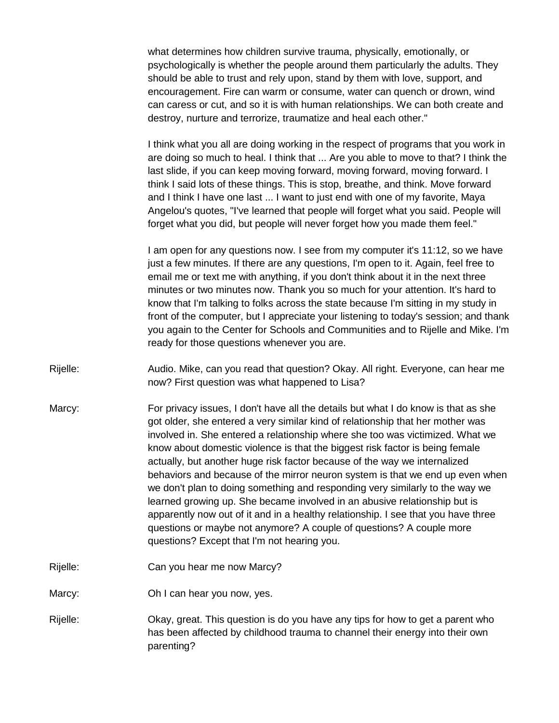what determines how children survive trauma, physically, emotionally, or psychologically is whether the people around them particularly the adults. They should be able to trust and rely upon, stand by them with love, support, and encouragement. Fire can warm or consume, water can quench or drown, wind can caress or cut, and so it is with human relationships. We can both create and destroy, nurture and terrorize, traumatize and heal each other."

I think what you all are doing working in the respect of programs that you work in are doing so much to heal. I think that ... Are you able to move to that? I think the last slide, if you can keep moving forward, moving forward, moving forward. I think I said lots of these things. This is stop, breathe, and think. Move forward and I think I have one last ... I want to just end with one of my favorite, Maya Angelou's quotes, "I've learned that people will forget what you said. People will forget what you did, but people will never forget how you made them feel."

I am open for any questions now. I see from my computer it's 11:12, so we have just a few minutes. If there are any questions, I'm open to it. Again, feel free to email me or text me with anything, if you don't think about it in the next three minutes or two minutes now. Thank you so much for your attention. It's hard to know that I'm talking to folks across the state because I'm sitting in my study in front of the computer, but I appreciate your listening to today's session; and thank you again to the Center for Schools and Communities and to Rijelle and Mike. I'm ready for those questions whenever you are.

Rijelle: Audio. Mike, can you read that question? Okay. All right. Everyone, can hear me now? First question was what happened to Lisa?

- Marcy: For privacy issues, I don't have all the details but what I do know is that as she got older, she entered a very similar kind of relationship that her mother was involved in. She entered a relationship where she too was victimized. What we know about domestic violence is that the biggest risk factor is being female actually, but another huge risk factor because of the way we internalized behaviors and because of the mirror neuron system is that we end up even when we don't plan to doing something and responding very similarly to the way we learned growing up. She became involved in an abusive relationship but is apparently now out of it and in a healthy relationship. I see that you have three questions or maybe not anymore? A couple of questions? A couple more questions? Except that I'm not hearing you.
- Rijelle: Can you hear me now Marcy?

Marcy: Oh I can hear you now, yes.

Rijelle: Okay, great. This question is do you have any tips for how to get a parent who has been affected by childhood trauma to channel their energy into their own parenting?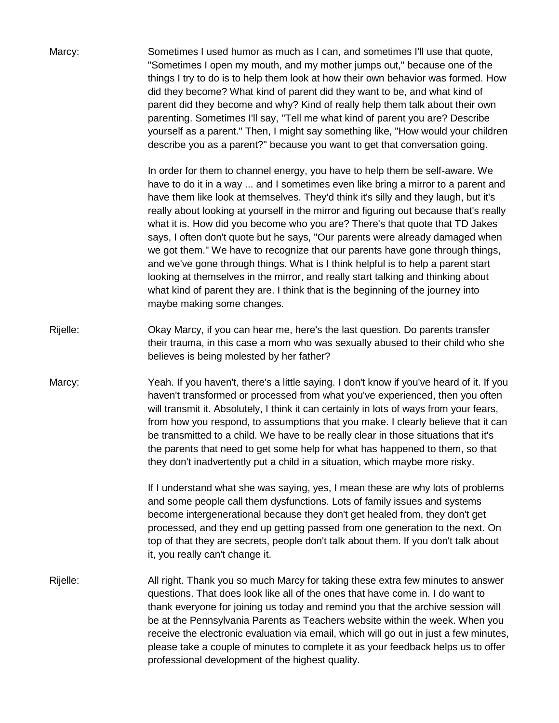| Marcy:   | Sometimes I used humor as much as I can, and sometimes I'll use that quote,<br>"Sometimes I open my mouth, and my mother jumps out," because one of the<br>things I try to do is to help them look at how their own behavior was formed. How<br>did they become? What kind of parent did they want to be, and what kind of<br>parent did they become and why? Kind of really help them talk about their own<br>parenting. Sometimes I'll say, "Tell me what kind of parent you are? Describe<br>yourself as a parent." Then, I might say something like, "How would your children<br>describe you as a parent?" because you want to get that conversation going.                                                                                                                                                                                                                            |
|----------|---------------------------------------------------------------------------------------------------------------------------------------------------------------------------------------------------------------------------------------------------------------------------------------------------------------------------------------------------------------------------------------------------------------------------------------------------------------------------------------------------------------------------------------------------------------------------------------------------------------------------------------------------------------------------------------------------------------------------------------------------------------------------------------------------------------------------------------------------------------------------------------------|
|          | In order for them to channel energy, you have to help them be self-aware. We<br>have to do it in a way  and I sometimes even like bring a mirror to a parent and<br>have them like look at themselves. They'd think it's silly and they laugh, but it's<br>really about looking at yourself in the mirror and figuring out because that's really<br>what it is. How did you become who you are? There's that quote that TD Jakes<br>says, I often don't quote but he says, "Our parents were already damaged when<br>we got them." We have to recognize that our parents have gone through things,<br>and we've gone through things. What is I think helpful is to help a parent start<br>looking at themselves in the mirror, and really start talking and thinking about<br>what kind of parent they are. I think that is the beginning of the journey into<br>maybe making some changes. |
| Rijelle: | Okay Marcy, if you can hear me, here's the last question. Do parents transfer<br>their trauma, in this case a mom who was sexually abused to their child who she<br>believes is being molested by her father?                                                                                                                                                                                                                                                                                                                                                                                                                                                                                                                                                                                                                                                                               |
| Marcy:   | Yeah. If you haven't, there's a little saying. I don't know if you've heard of it. If you<br>haven't transformed or processed from what you've experienced, then you often<br>will transmit it. Absolutely, I think it can certainly in lots of ways from your fears,<br>from how you respond, to assumptions that you make. I clearly believe that it can<br>be transmitted to a child. We have to be really clear in those situations that it's<br>the parents that need to get some help for what has happened to them, so that<br>they don't inadvertently put a child in a situation, which maybe more risky.                                                                                                                                                                                                                                                                          |
|          | If I understand what she was saying, yes, I mean these are why lots of problems<br>and some people call them dysfunctions. Lots of family issues and systems<br>become intergenerational because they don't get healed from, they don't get<br>processed, and they end up getting passed from one generation to the next. On<br>top of that they are secrets, people don't talk about them. If you don't talk about<br>it, you really can't change it.                                                                                                                                                                                                                                                                                                                                                                                                                                      |
| Rijelle: | All right. Thank you so much Marcy for taking these extra few minutes to answer<br>questions. That does look like all of the ones that have come in. I do want to<br>thank everyone for joining us today and remind you that the archive session will<br>be at the Pennsylvania Parents as Teachers website within the week. When you<br>receive the electronic evaluation via email, which will go out in just a few minutes,<br>please take a couple of minutes to complete it as your feedback helps us to offer<br>professional development of the highest quality.                                                                                                                                                                                                                                                                                                                     |